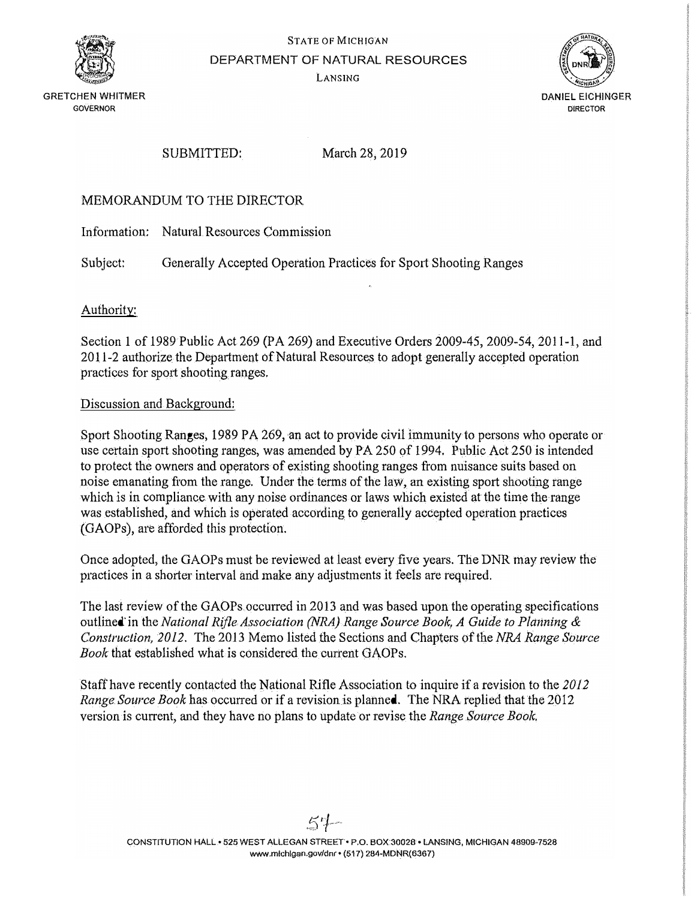

# STATE *OF* MICHIGAN DEPARTMENT OF NATURAL RESOURCES

LANSING



GRETCHEN WHITMER GOVERNOR

SUBMITTED: March 28, 2019

# MEMORANDUM TO THE DIRECTOR

Information: Natural Resources Commission

Subject: Generally Accepted Operation Practices for Sport Shooting Ranges

Authority:

Section 1 of 1989 Public Act 269 (PA 269) and Executive Orders 2009-45, 2009-54, 2011-1, and 2011-2 authorize the Department of Natural Resources to adopt generally accepted operation practices for sport shooting ranges.

# Discussion and Background:

Sport Shooting Ranges, 1989 PA 269, an act to provide civil immunity to persons who operate or use certain sport shooting ranges, was amended by PA 250 of 1994. Public Act 250 is intended to protect the owners and operators of existing shooting ranges from nuisance suits based on noise emanating from the range. Under the terms of the law, an existing sport shooting range which is in compliance with any noise ordinances or laws which existed at the time the range was established, and which is operated according to generally accepted operation practices (GAOPs) , are afforded this protection.

Once adopted, the GAOPs must be reviewed at least every five years. The DNR may review the practices in a shorter interval and make any adjustments it feels are required.

The last review of the GAOPs occurred in 2013 and was based upon the operating specifications outlined· in the *National Rifle Association (NRA)Range Source Book, A Guide to Planning & Construction, 2012.* The 2013 Memo listed the Sections and Chapters of the *NRA Range Source Book* that established what is considered the current GAOPs.

Staff have recently contacted the National Rifle Association to inquire if a revision to the 2012 *Range Source Book* has occurred or if a revision is planned. The NRA replied that the 2012 version is current, and they have no plans to update or revise the *Range Saurce Book,*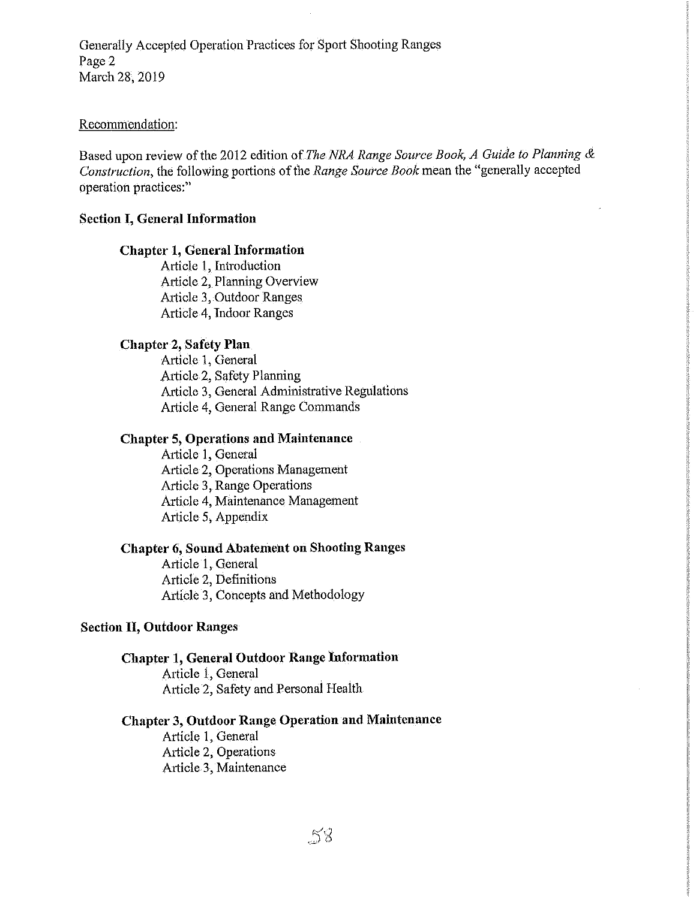Generally Accepted Operation Practices for Sport Shooting Ranges Page2 March 28, 2019

#### Recommendation:

Based upon review of the 2012 edition of *The NRA Range Source Book, A Guide to Planning & Construction, the following portions of the <i>Range Source Book* mean the "generally accepted operation practices:"

#### **Section I, General Information**

#### **Chapter 1, General Information**

Article 1, Introduction Article 2, Planning Overview Article 3, Outdoor Ranges Article 4, Indoor Ranges

#### **Chapter 2, Safety Plan**

Article 1, General Article 2, Safety Planning Article 3, General Administrative Regulations Article 4, General Range Commands

#### **Chapter 5, Operations and Maintenance**

Article 1, General Article 2, Operations Management Article 3, Range Operations Article 4, Maintenance Management Article 5, Appendix

# **Chapter** *6,* **Sound Abatement on Shooting Ranges**

Article 1, General Article 2, Definitions Article 3, Concepts and Methodology

### **Section II, Outdoor Ranges**

#### **Chapter 1, General Outdoor Range Information**

Article 1, General Article 2, Safety and Personal Health

# **Chapter 3, Outdoor Range Operation and Maintenance**

Article 1, General Article 2, Operations Article 3, Maintenance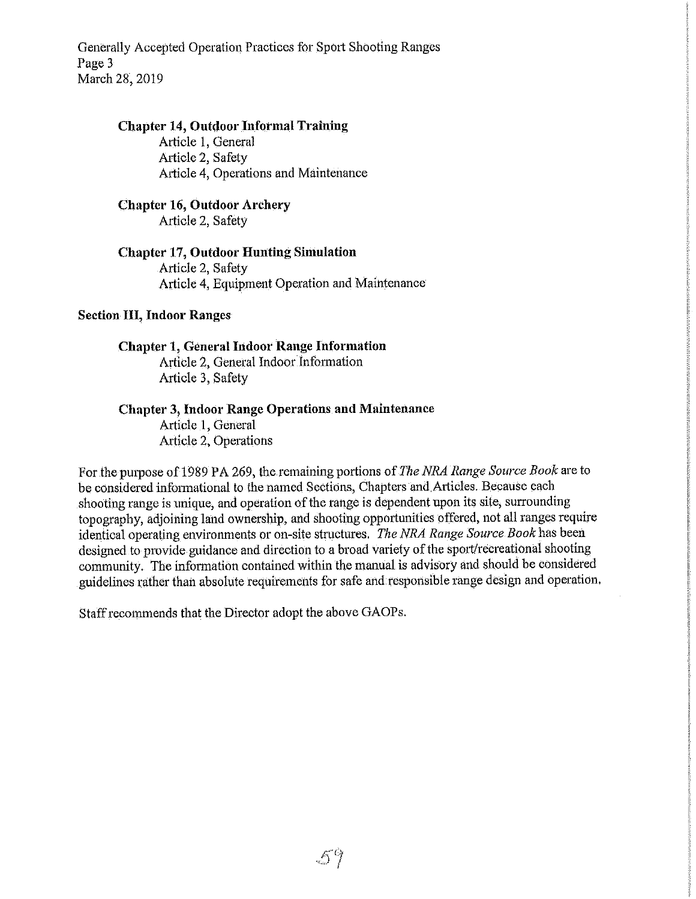Generally Accepted Operation Practices for Sport Shooting Ranges Page 3 March 28, 2019

# **Chapter 14, Outdoor Informal Training**

Article 1, General Article 2, Safety Article 4, Operations and Maintenance

# **Chapter 16, Outdoor Archery**  Article 2, Safety

#### **Chapter 17, Outdoor Hunting Simulation**  Article 2, Safety Article 4, Equipment Operation and Maintenance

### **Section Ill, Indoor Ranges**

### **Chapter 1, General Indoor Range Information**

Article 2, General Indoor Information Article 3, Safety

# **Chapter 3, Indoor Range Operations and Maintenance**

Article 1, General Article 2, Operations

For the purpose of 1989 PA 269, the.remaining portions of *The NRA Range Source Book* are to be considered informational to the named Sections, Chapters and Articles. Because each shooting range is unique, and operation of the range is dependent upon its site, surrounding topography, adjoining land ownership, and shooting opportunities offered, not all ranges require identical operating environments or on-site structures. *The NRA Range Source Book* has been designed to provide guidance and direction to a broad variety of the sport/recreational shooting community. The information contained within the manual is advisory and should be considered guidelines rather than absolute requirements for safe and responsible range design and operation.

Staff recommends that the Director adopt the above GAOPs.